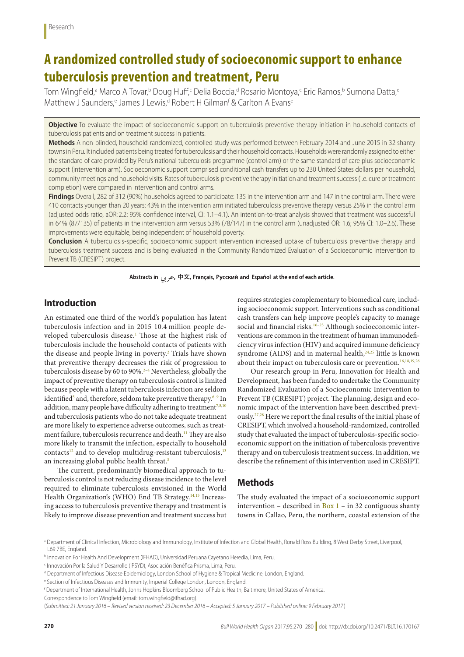# **A randomized controlled study of socioeconomic support to enhance tuberculosis prevention and treatment, Peru**

Tom Wingfield,ª Marco A Tovar,<sup>b</sup> Doug Huff,<sup>c</sup> Delia Boccia,<sup>d</sup> Rosario Montoya,<sup>c</sup> Eric Ramos,<sup>b</sup> Sumona Datta,<sup>e</sup> Matthew J Saunders,<sup>e</sup> James J Lewis,<sup>d</sup> Robert H Gilman<sup>f</sup> & Carlton A Evans<sup>e</sup>

**Objective** To evaluate the impact of socioeconomic support on tuberculosis preventive therapy initiation in household contacts of tuberculosis patients and on treatment success in patients.

**Methods** A non-blinded, household-randomized, controlled study was performed between February 2014 and June 2015 in 32 shanty towns in Peru. It included patients being treated for tuberculosis and their household contacts. Households were randomly assigned to either the standard of care provided by Peru's national tuberculosis programme (control arm) or the same standard of care plus socioeconomic support (intervention arm). Socioeconomic support comprised conditional cash transfers up to 230 United States dollars per household, community meetings and household visits. Rates of tuberculosis preventive therapy initiation and treatment success (i.e. cure or treatment completion) were compared in intervention and control arms.

**Findings** Overall, 282 of 312 (90%) households agreed to participate: 135 in the intervention arm and 147 in the control arm. There were 410 contacts younger than 20 years: 43% in the intervention arm initiated tuberculosis preventive therapy versus 25% in the control arm (adjusted odds ratio, aOR: 2.2; 95% confidence interval, CI: 1.1–4.1). An intention-to-treat analysis showed that treatment was successful in 64% (87/135) of patients in the intervention arm versus 53% (78/147) in the control arm (unadjusted OR: 1.6; 95% CI: 1.0–2.6). These improvements were equitable, being independent of household poverty.

**Conclusion** A tuberculosis-specific, socioeconomic support intervention increased uptake of tuberculosis preventive therapy and tuberculosis treatment success and is being evaluated in the Community Randomized Evaluation of a Socioeconomic Intervention to Prevent TB (CRESIPT) project.

Abstracts in جربی, 中文, Français, Русский and Español at the end of each article.

### **Introduction**

An estimated one third of the world's population has latent tuberculosis infection and in 2015 10.4 million people developed tuberculosis disease.[1](#page-9-0) Those at the highest risk of tuberculosis include the household contacts of patients with the disease and people living in poverty.<sup>[2](#page-9-1)</sup> Trials have shown that preventive therapy decreases the risk of progression to tuberculosis disease by 60 to 90%.<sup>[2](#page-9-1)-4</sup> Nevertheless, globally the impact of preventive therapy on tuberculosis control is limited because people with a latent tuberculosis infection are seldom identified<sup>5</sup> and, therefore, seldom take preventive therapy.<sup>6–[9](#page-9-5)</sup> In addition, many people have difficulty adhering to treatment $^{7,8,10}$  $^{7,8,10}$  $^{7,8,10}$  $^{7,8,10}$ and tuberculosis patients who do not take adequate treatment are more likely to experience adverse outcomes, such as treatment failure, tuberculosis recurrence and death.<sup>11</sup> They are also more likely to transmit the infection, especially to household contacts<sup>[12](#page-9-10)</sup> and to develop multidrug-resistant tuberculosis, $13$ an increasing global public health threat.<sup>[5](#page-9-3)</sup>

The current, predominantly biomedical approach to tuberculosis control is not reducing disease incidence to the level required to eliminate tuberculosis envisioned in the World Health Organization's (WHO) End TB Strategy.<sup>[14](#page-9-12),[15](#page-9-13)</sup> Increasing access to tuberculosis preventive therapy and treatment is likely to improve disease prevention and treatment success but requires strategies complementary to biomedical care, including socioeconomic support. Interventions such as conditional cash transfers can help improve people's capacity to manage social and financial risks. $16-23$  $16-23$  Although socioeconomic interventions are common in the treatment of human immunodeficiency virus infection (HIV) and acquired immune deficiency syndrome (AIDS) and in maternal health,<sup>24,[25](#page-9-17)</sup> little is known about their impact on tuberculosis care or prevention.<sup>[16](#page-9-14),[18](#page-9-18)[,19](#page-9-19)[,26](#page-9-20)</sup>

Our research group in Peru, Innovation for Health and Development, has been funded to undertake the Community Randomized Evaluation of a Socioeconomic Intervention to Prevent TB (CRESIPT) project. The planning, design and economic impact of the intervention have been described previously.[27](#page-9-21)[,28](#page-9-22) Here we report the final results of the initial phase of CRESIPT, which involved a household-randomized, controlled study that evaluated the impact of tuberculosis-specific socioeconomic support on the initiation of tuberculosis preventive therapy and on tuberculosis treatment success. In addition, we describe the refinement of this intervention used in CRESIPT.

### **Methods**

The study evaluated the impact of a socioeconomic support intervention – described in  $Box 1$  – in 32 contiguous shanty towns in Callao, Peru, the northern, coastal extension of the

a Department of Clinical Infection, Microbiology and Immunology, Institute of Infection and Global Health, Ronald Ross Building, 8 West Derby Street, Liverpool, L69 7BE, England.

b Innovation For Health And Development (IFHAD), Universidad Peruana Cayetano Heredia, Lima, Peru.

c Innovación Por la Salud Y Desarrollo (IPSYD), Asociación Benéfica Prisma, Lima, Peru.

d Department of Infectious Disease Epidemiology, London School of Hygiene & Tropical Medicine, London, England.

e Section of Infectious Diseases and Immunity, Imperial College London, London, England.

f Department of International Health, Johns Hopkins Bloomberg School of Public Health, Baltimore, United States of America.

Correspondence to Tom Wingfield (email: tom.wingfield@ifhad.org).

<sup>(</sup>*Submitted: 21 January 2016 – Revised version received: 23 December 2016 – Accepted: 5 January 2017 – Published online: 9 February 2017* )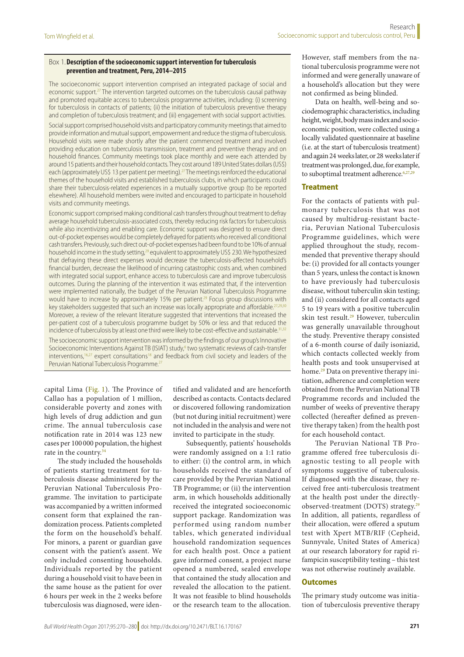#### <span id="page-1-0"></span>Box 1.**Description of the socioeconomic support intervention for tuberculosis prevention and treatment, Peru, 2014–2015**

The socioeconomic support intervention comprised an integrated package of social and economic support.[27](#page-9-21) The intervention targeted outcomes on the tuberculosis causal pathway and promoted equitable access to tuberculosis programme activities, including: (i) screening for tuberculosis in contacts of patients; (ii) the initiation of tuberculosis preventive therapy and completion of tuberculosis treatment; and (iii) engagement with social support activities.

Social support comprised household visits and participatory community meetings that aimed to provide information and mutual support, empowerment and reduce the stigma of tuberculosis. Household visits were made shortly after the patient commenced treatment and involved providing education on tuberculosis transmission, treatment and preventive therapy and on household finances. Community meetings took place monthly and were each attended by around 15 patients and their household contacts. They cost around 189 United States dollars (US\$) each (approximately US\$ 13 per patient per meeting).<sup>27</sup> The meetings reinforced the educational themes of the household visits and established tuberculosis clubs, in which participants could share their tuberculosis-related experiences in a mutually supportive group (to be reported elsewhere). All household members were invited and encouraged to participate in household visits and community meetings.

Economic support comprised making conditional cash transfers throughout treatment to defray average household tuberculosis-associated costs, thereby reducing risk factors for tuberculosis while also incentivizing and enabling care. Economic support was designed to ensure direct out-of-pocket expenses would be completely defrayed for patients who received all conditional cash transfers. Previously, such direct out-of-pocket expenses had been found to be 10% of annual household income in the study setting,<sup>29</sup> equivalent to approximately US\$ 230. We hypothesized that defraying these direct expenses would decrease the tuberculosis-affected household's financial burden, decrease the likelihood of incurring catastrophic costs and, when combined with integrated social support, enhance access to tuberculosis care and improve tuberculosis outcomes. During the planning of the intervention it was estimated that, if the intervention were implemented nationally, the budget of the Peruvian National Tuberculosis Programme would have to increase by approximately 15% per patient.<sup>29</sup> Focus group discussions with key stakeholders suggested that such an increase was locally appropriate and affordable.<sup>2</sup> Moreover, a review of the relevant literature suggested that interventions that increased the per-patient cost of a tuberculosis programme budget by 50% or less and that reduced the incidence of tuberculosis by at least one third were likely to be cost-effective and sustainable.<sup>31,[32](#page-10-4)</sup>

The socioeconomic support intervention was informed by the findings of our group's Innovative Socioeconomic Interventions Against TB (ISIAT) study,<sup>6</sup> two systematic reviews of cash-transfer interventions,<sup>[16,](#page-9-14)[27](#page-9-21)</sup> expert consultations<sup>[18](#page-9-18)</sup> and feedback from civil society and leaders of the Peruvian National Tuberculosis Programme.<sup>2</sup>

capital Lima ([Fig.](#page-2-0) 1). The Province of Callao has a population of 1 million, considerable poverty and zones with high levels of drug addiction and gun crime. The annual tuberculosis case notification rate in 2014 was 123 new cases per 100 000 population, the highest rate in the country.<sup>[34](#page-10-0)</sup>

The study included the households of patients starting treatment for tuberculosis disease administered by the Peruvian National Tuberculosis Programme. The invitation to participate was accompanied by a written informed consent form that explained the randomization process. Patients completed the form on the household's behalf. For minors, a parent or guardian gave consent with the patient's assent. We only included consenting households. Individuals reported by the patient during a household visit to have been in the same house as the patient for over 6 hours per week in the 2 weeks before tuberculosis was diagnosed, were identified and validated and are henceforth described as contacts. Contacts declared or discovered following randomization (but not during initial recruitment) were not included in the analysis and were not invited to participate in the study.

Subsequently, patients' households were randomly assigned on a 1:1 ratio to either: (i) the control arm, in which households received the standard of care provided by the Peruvian National TB Programme; or (ii) the intervention arm, in which households additionally received the integrated socioeconomic support package. Randomization was performed using random number tables, which generated individual household randomization sequences for each health post. Once a patient gave informed consent, a project nurse opened a numbered, sealed envelope that contained the study allocation and revealed the allocation to the patient. It was not feasible to blind households or the research team to the allocation.

However, staff members from the national tuberculosis programme were not informed and were generally unaware of a household's allocation but they were not confirmed as being blinded.

Data on health, well-being and sociodemographic characteristics, including height, weight, body mass index and socioeconomic position, were collected using a locally validated questionnaire at baseline (i.e. at the start of tuberculosis treatment) and again 24 weeks later, or 28 weeks later if treatment was prolonged, due, for example, to suboptimal treatment adherence.<sup>6,[27,](#page-9-21)[29](#page-10-1)</sup>

#### **Treatment**

For the contacts of patients with pulmonary tuberculosis that was not caused by multidrug-resistant bacteria, Peruvian National Tuberculosis Programme guidelines, which were applied throughout the study, recommended that preventive therapy should be: (i) provided for all contacts younger than 5 years, unless the contact is known to have previously had tuberculosis disease, without tuberculin skin testing; and (ii) considered for all contacts aged 5 to 19 years with a positive tuberculin skin test result.[29](#page-10-1) However, tuberculin was generally unavailable throughout the study. Preventive therapy consisted of a 6-month course of daily isoniazid, which contacts collected weekly from health posts and took unsupervised at home.[29](#page-10-1) Data on preventive therapy initiation, adherence and completion were obtained from the Peruvian National TB Programme records and included the number of weeks of preventive therapy collected (hereafter defined as preventive therapy taken) from the health post for each household contact.

The Peruvian National TB Programme offered free tuberculosis diagnostic testing to all people with symptoms suggestive of tuberculosis. If diagnosed with the disease, they received free anti-tuberculosis treatment at the health post under the directlyobserved-treatment (DOTS) strategy[.29](#page-10-1) In addition, all patients, regardless of their allocation, were offered a sputum test with Xpert MTB/RIF (Cepheid, Sunnyvale, United States of America) at our research laboratory for rapid rifampicin susceptibility testing – this test was not otherwise routinely available.

#### **Outcomes**

The primary study outcome was initiation of tuberculosis preventive therapy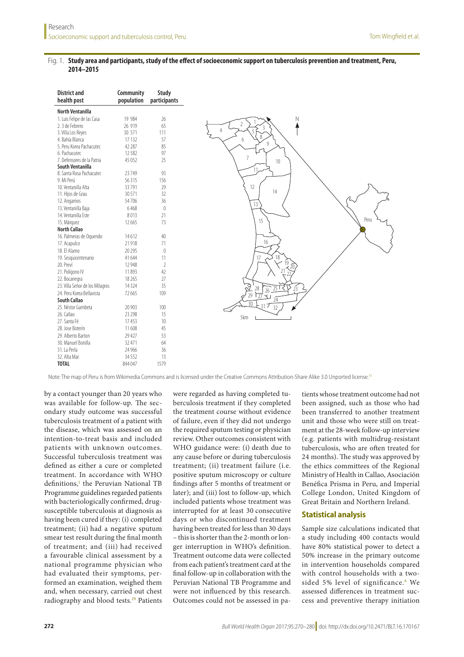#### <span id="page-2-0"></span>Fig. 1. **Study area and participants, study of the effect of socioeconomic support on tuberculosis prevention and treatment, Peru, 2014–2015**

| <b>District and</b><br>health post | Community<br>population | <b>Study</b><br>participants |
|------------------------------------|-------------------------|------------------------------|
| <b>North Ventanilla</b>            |                         |                              |
| 1. Luis Felipe de las Casa         | 19 984                  | 26                           |
| 2. 3 de Febrero                    | 26 919                  | 65                           |
| 3. Villa Los Reyes                 | 30 571                  | 111                          |
| 4. Bahía Blanca                    | 17 13 2                 | 57                           |
| 5. Peru Korea Pachacutec           | 42 287                  | 85                           |
| 6. Pachacutec                      | 12582                   | 97                           |
| 7. Defensores de la Patria         | 45 0 52                 | 25                           |
| South Ventanilla                   |                         |                              |
| 8. Santa Rosa Pachacutec           | 23749                   | 93                           |
| 9. Mi Perú                         | 56315                   | 156                          |
| 10. Ventanilla Alta                | 33791                   | 29                           |
| 11. Hijos de Grau                  | 30 571                  | 32                           |
| 12. Angamos                        | 54706                   | 36                           |
| 13. Ventanilla Baja                | 6468                    | $\mathbb O$                  |
| 14. Ventanilla Este                | 8013                    | 21                           |
| 15. Márquez                        | 12665                   | 73                           |
| <b>North Callao</b>                |                         |                              |
| 16. Palmeras de Oguendo            | 14612                   | 40                           |
| 17. Acapulco                       | 21918                   | 71                           |
| 18. El Alamo                       | 20 29 5                 | $\mathbb O$                  |
| 19. Sesquicentenario               | 41 644                  | 11                           |
| 20. Preví                          | 12948                   | $\overline{2}$               |
| 21. Polígono IV                    | 11893                   | 42                           |
| 22. Bocanegra                      | 18 265                  | 27                           |
| 23. Villa Señor de los Milagros    | 14 3 24                 | 35                           |
| 24. Peru Korea Bellavista          | 72665                   | 109                          |
| South Callao                       |                         |                              |
| 25. Néstor Gambeta                 | 20 903                  | 100                          |
| 26. Callao                         | 23 298                  | 15                           |
| 27. Santa Fé                       | 17453                   | 10                           |
| 28. Jose Boterín                   | 11608                   | 45                           |
| 29. Alberto Barton                 | 29 4 27                 | 53                           |
| 30. Manuel Bonilla                 | 32 471                  | 64                           |
| 31. La Perla                       | 24 9 66                 | 36                           |
| 32. Alta Mar                       | 34 5 52                 | 13                           |
| <b>TOTAL</b>                       | 844 047                 | 1579                         |

Note: The map of Peru is from Wikimedia Commons and is licensed under the Creative Commons Attribution-Share Alike 3.0 Unported license.<sup>33</sup>

by a contact younger than 20 years who was available for follow-up. The secondary study outcome was successful tuberculosis treatment of a patient with the disease, which was assessed on an intention-to-treat basis and included patients with unknown outcomes. Successful tuberculosis treatment was defined as either a cure or completed treatment. In accordance with WHO definitions,<sup>1</sup> the Peruvian National TB Programme guidelines regarded patients with bacteriologically confirmed, drugsusceptible tuberculosis at diagnosis as having been cured if they: (i) completed treatment; (ii) had a negative sputum smear test result during the final month of treatment; and (iii) had received a favourable clinical assessment by a national programme physician who had evaluated their symptoms, performed an examination, weighed them and, when necessary, carried out chest radiography and blood tests.<sup>[29](#page-10-1)</sup> Patients

were regarded as having completed tuberculosis treatment if they completed the treatment course without evidence of failure, even if they did not undergo the required sputum testing or physician review. Other outcomes consistent with WHO guidance were: (i) death due to any cause before or during tuberculosis treatment; (ii) treatment failure (i.e. positive sputum microscopy or culture findings after 5 months of treatment or later); and (iii) lost to follow-up, which included patients whose treatment was interrupted for at least 30 consecutive days or who discontinued treatment having been treated for less than 30 days – this is shorter than the 2-month or longer interruption in WHO's definition. Treatment outcome data were collected from each patient's treatment card at the final follow-up in collaboration with the Peruvian National TB Programme and were not influenced by this research. Outcomes could not be assessed in patients whose treatment outcome had not been assigned, such as those who had been transferred to another treatment unit and those who were still on treatment at the 28-week follow-up interview (e.g. patients with multidrug-resistant tuberculosis, who are often treated for 24 months). The study was approved by the ethics committees of the Regional Ministry of Health in Callao, Asociación Benéfica Prisma in Peru, and Imperial College London, United Kingdom of Great Britain and Northern Ireland.

### **Statistical analysis**

Sample size calculations indicated that a study including 400 contacts would have 80% statistical power to detect a 50% increase in the primary outcome in intervention households compared with control households with a two-sided 5% level of significance.<sup>[6](#page-9-4)</sup> We assessed differences in treatment success and preventive therapy initiation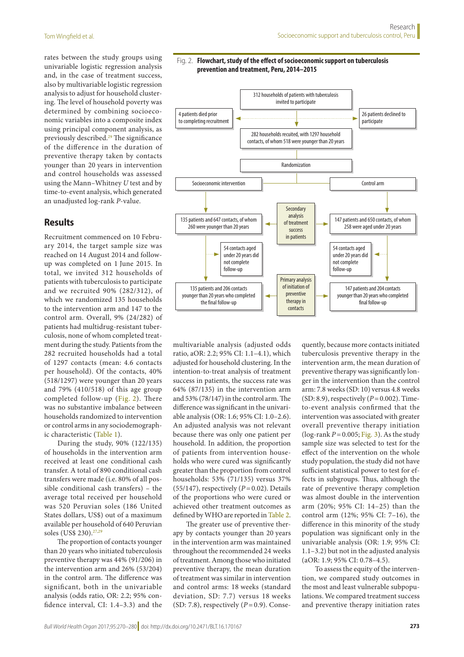rates between the study groups using univariable logistic regression analysis and, in the case of treatment success, also by multivariable logistic regression analysis to adjust for household clustering. The level of household poverty was determined by combining socioeconomic variables into a composite index using principal component analysis, as previously described.[29](#page-10-1) The significance of the difference in the duration of preventive therapy taken by contacts younger than 20 years in intervention and control households was assessed using the Mann–Whitney *U* test and by time-to-event analysis, which generated an unadjusted log-rank *P*-value.

### **Results**

Recruitment commenced on 10 February 2014, the target sample size was reached on 14 August 2014 and followup was completed on 1 June 2015. In total, we invited 312 households of patients with tuberculosis to participate and we recruited 90% (282/312), of which we randomized 135 households to the intervention arm and 147 to the control arm. Overall, 9% (24/282) of patients had multidrug-resistant tuberculosis, none of whom completed treatment during the study. Patients from the 282 recruited households had a total of 1297 contacts (mean: 4.6 contacts per household). Of the contacts, 40% (518/1297) were younger than 20 years and 79% (410/518) of this age group completed follow-up ([Fig.](#page-3-0) 2). There was no substantive imbalance between households randomized to intervention or control arms in any sociodemographic characteristic [\(Table](#page-4-0) 1).

During the study, 90% (122/135) of households in the intervention arm received at least one conditional cash transfer. A total of 890 conditional cash transfers were made (i.e. 80% of all possible conditional cash transfers) – the average total received per household was 520 Peruvian soles (186 United States dollars, US\$) out of a maximum available per household of 640 Peruvian soles (US\$ 230).<sup>27,[29](#page-10-1)</sup>

The proportion of contacts younger than 20 years who initiated tuberculosis preventive therapy was 44% (91/206) in the intervention arm and 26% (53/204) in the control arm. The difference was significant, both in the univariable analysis (odds ratio, OR: 2.2; 95% confidence interval, CI: 1.4–3.3) and the

#### <span id="page-3-0"></span>Fig. 2. **Flowchart, study of the effect of socioeconomic support on tuberculosis prevention and treatment, Peru, 2014–2015**



multivariable analysis (adjusted odds ratio, aOR: 2.2; 95% CI: 1.1–4.1), which adjusted for household clustering. In the intention-to-treat analysis of treatment success in patients, the success rate was 64% (87/135) in the intervention arm and 53% (78/147) in the control arm. The difference was significant in the univariable analysis (OR: 1.6; 95% CI: 1.0–2.6). An adjusted analysis was not relevant because there was only one patient per household. In addition, the proportion of patients from intervention households who were cured was significantly greater than the proportion from control households: 53% (71/135) versus 37% (55/147), respectively (*P*=0.02). Details of the proportions who were cured or achieved other treatment outcomes as defined by WHO are reported in [Table](#page-5-0) 2.

The greater use of preventive therapy by contacts younger than 20 years in the intervention arm was maintained throughout the recommended 24 weeks of treatment. Among those who initiated preventive therapy, the mean duration of treatment was similar in intervention and control arms: 18 weeks (standard deviation, SD: 7.7) versus 18 weeks (SD: 7.8), respectively (*P*=0.9). Consequently, because more contacts initiated tuberculosis preventive therapy in the intervention arm, the mean duration of preventive therapy was significantly longer in the intervention than the control arm: 7.8 weeks (SD: 10) versus 4.8 weeks  $(SD: 8.9)$ , respectively  $(P=0.002)$ . Timeto-event analysis confirmed that the intervention was associated with greater overall preventive therapy initiation (log-rank  $P = 0.005$ ; [Fig.](#page-6-0) 3). As the study sample size was selected to test for the effect of the intervention on the whole study population, the study did not have sufficient statistical power to test for effects in subgroups. Thus, although the rate of preventive therapy completion was almost double in the intervention arm (20%; 95% CI: 14–25) than the control arm (12%; 95% CI: 7–16), the difference in this minority of the study population was significant only in the univariable analysis (OR: 1.9; 95% CI: 1.1–3.2) but not in the adjusted analysis (aOR: 1.9; 95% CI: 0.78–4.5).

To assess the equity of the intervention, we compared study outcomes in the most and least vulnerable subpopulations. We compared treatment success and preventive therapy initiation rates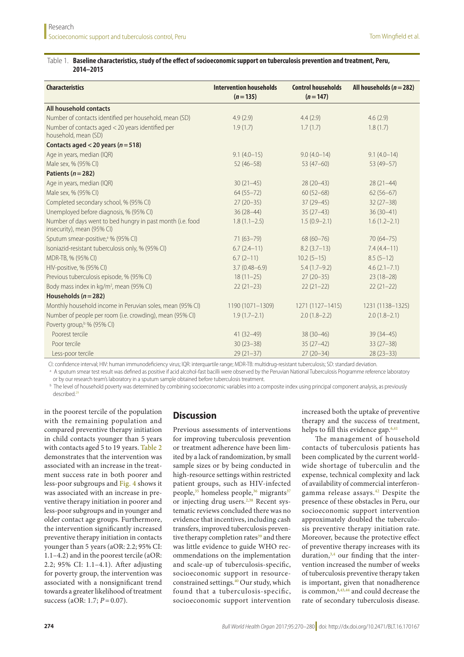#### <span id="page-4-0"></span>Table 1. **Baseline characteristics, study of the effect of socioeconomic support on tuberculosis prevention and treatment, Peru, 2014–2015**

| <b>Characteristics</b>                                                                   | <b>Intervention households</b><br>$(n=135)$ | <b>Control households</b><br>$(n=147)$ | All households ( $n = 282$ ) |
|------------------------------------------------------------------------------------------|---------------------------------------------|----------------------------------------|------------------------------|
| All household contacts                                                                   |                                             |                                        |                              |
| Number of contacts identified per household, mean (SD)                                   | 4.9(2.9)                                    | 4.4(2.9)                               | 4.6(2.9)                     |
| Number of contacts aged < 20 years identified per<br>household, mean (SD)                | 1.9(1.7)                                    | 1.7(1.7)                               | 1.8(1.7)                     |
| Contacts aged < 20 years ( $n = 518$ )                                                   |                                             |                                        |                              |
| Age in years, median (IQR)                                                               | $9.1(4.0-15)$                               | $9.0(4.0-14)$                          | $9.1(4.0-14)$                |
| Male sex, % (95% CI)                                                                     | $52(46 - 58)$                               | $53(47-60)$                            | $53(49-57)$                  |
| Patients ( $n = 282$ )                                                                   |                                             |                                        |                              |
| Age in years, median (IQR)                                                               | $30(21-45)$                                 | $28(20-43)$                            | $28(21-44)$                  |
| Male sex, % (95% CI)                                                                     | $64(55 - 72)$                               | $60(52-68)$                            | $62(56-67)$                  |
| Completed secondary school, % (95% CI)                                                   | $27(20-35)$                                 | $37(29-45)$                            | $32(27-38)$                  |
| Unemployed before diagnosis, % (95% CI)                                                  | $36(28-44)$                                 | $35(27-43)$                            | $36(30-41)$                  |
| Number of days went to bed hungry in past month (i.e. food<br>insecurity), mean (95% CI) | $1.8(1.1-2.5)$                              | $1.5(0.9-2.1)$                         | $1.6(1.2 - 2.1)$             |
| Sputum smear-positive, <sup>a</sup> % (95% CI)                                           | $71(63 - 79)$                               | $68(60 - 76)$                          | $70(64 - 75)$                |
| Isoniazid-resistant tuberculosis only, % (95% CI)                                        | $6.7(2.4-11)$                               | $8.2(3.7-13)$                          | $7.4(4.4-11)$                |
| MDR-TB, % (95% CI)                                                                       | $6.7(2-11)$                                 | $10.2(5-15)$                           | $8.5(5-12)$                  |
| HIV-positive, % (95% CI)                                                                 | $3.7(0.48 - 6.9)$                           | $5.4(1.7-9.2)$                         | $4.6(2.1 - 7.1)$             |
| Previous tuberculosis episode, % (95% CI)                                                | $18(11-25)$                                 | $27(20-35)$                            | $23(18-28)$                  |
| Body mass index in kg/m <sup>2</sup> , mean (95% CI)                                     | $22(21-23)$                                 | $22(21-22)$                            | $22(21-22)$                  |
| Households ( $n = 282$ )                                                                 |                                             |                                        |                              |
| Monthly household income in Peruvian soles, mean (95% CI)                                | 1190 (1071-1309)                            | 1271 (1127-1415)                       | 1231 (1138-1325)             |
| Number of people per room (i.e. crowding), mean (95% CI)                                 | $1.9(1.7-2.1)$                              | $2.0(1.8-2.2)$                         | $2.0(1.8-2.1)$               |
| Poverty group, <sup>b</sup> % (95% CI)                                                   |                                             |                                        |                              |
| Poorest tercile                                                                          | $41(32-49)$                                 | $38(30-46)$                            | $39(34-45)$                  |
| Poor tercile                                                                             | $30(23 - 38)$                               | $35(27-42)$                            | $33(27-38)$                  |
| Less-poor tercile                                                                        | $29(21-37)$                                 | $27(20-34)$                            | $28(23-33)$                  |

CI: confidence interval; HIV: human immunodeficiency virus; IQR: interquartile range; MDR-TB: multidrug-resistant tuberculosis; SD: standard deviation.

<sup>a</sup> A sputum smear test result was defined as positive if acid alcohol-fast bacilli were observed by the Peruvian National Tuberculosis Programme reference laboratory or by our research team's laboratory in a sputum sample obtained before tuberculosis treatment.

**b** The level of household poverty was determined by combining socioeconomic variables into a composite index using principal component analysis, as previously described.<sup>29</sup>

in the poorest tercile of the population with the remaining population and compared preventive therapy initiation in child contacts younger than 5 years with contacts aged 5 to 19 years. [Table](#page-5-0) 2 demonstrates that the intervention was associated with an increase in the treatment success rate in both poorer and less-poor subgroups and [Fig.](#page-6-1) 4 shows it was associated with an increase in preventive therapy initiation in poorer and less-poor subgroups and in younger and older contact age groups. Furthermore, the intervention significantly increased preventive therapy initiation in contacts younger than 5 years (aOR: 2.2; 95% CI: 1.1–4.2) and in the poorest tercile (aOR: 2.2; 95% CI: 1.1–4.1). After adjusting for poverty group, the intervention was associated with a nonsignificant trend towards a greater likelihood of treatment success (aOR: 1.7; *P* = 0.07).

## **Discussion**

Previous assessments of interventions for improving tuberculosis prevention or treatment adherence have been limited by a lack of randomization, by small sample sizes or by being conducted in high-resource settings within restricted patient groups, such as HIV-infected people,<sup>[35](#page-10-6)</sup> homeless people,<sup>[36](#page-10-7)</sup> migrants<sup>[37](#page-10-8)</sup> or injecting drug users.<sup>[2](#page-9-1),38</sup> Recent systematic reviews concluded there was no evidence that incentives, including cash transfers, improved tuberculosis preven-tive therapy completion rates<sup>[39](#page-10-10)</sup> and there was little evidence to guide WHO recommendations on the implementation and scale-up of tuberculosis-specific, socioeconomic support in resource-constrained settings.<sup>[40](#page-10-11)</sup> Our study, which found that a tuberculosis-specific, socioeconomic support intervention

increased both the uptake of preventive therapy and the success of treatment, helps to fill this evidence gap.<sup>6[,41](#page-10-12)</sup>

The management of household contacts of tuberculosis patients has been complicated by the current worldwide shortage of tuberculin and the expense, technical complexity and lack of availability of commercial interferongamma release assays.[42](#page-10-13) Despite the presence of these obstacles in Peru, our socioeconomic support intervention approximately doubled the tuberculosis preventive therapy initiation rate. Moreover, because the protective effect of preventive therapy increases with its duration,<sup>[3](#page-9-23),[4](#page-9-2)</sup> our finding that the intervention increased the number of weeks of tuberculosis preventive therapy taken is important, given that nonadherence is common, $8,43,44$  $8,43,44$  $8,43,44$  $8,43,44$  and could decrease the rate of secondary tuberculosis disease.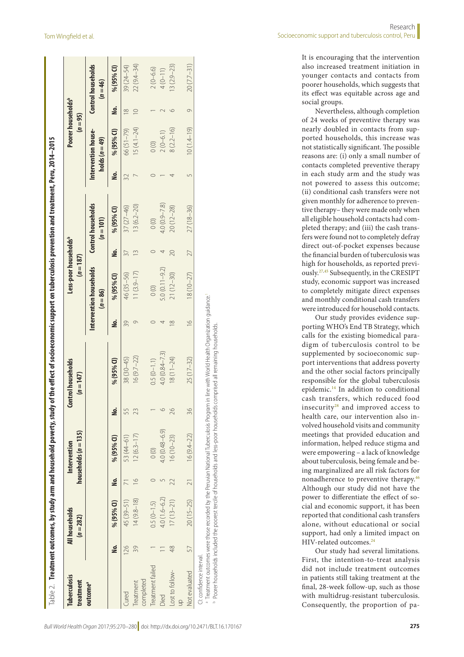| $12(6.3-17)$<br>53 (44-61)<br>% (95% CI)<br>$\circ$<br>$\frac{6}{1}$<br><u>s</u><br>$14(9.8 - 18)$<br>45 (39-51)<br>% (95% CI)<br>$0.5(0-1.5)$<br>ġ<br>126<br>39<br>Treatment failed<br>completed<br>Treatment<br>outcome <sup>a</sup><br>Cured | ġ<br>% (95% CI)              | Intervention households<br>$(n = 86)$ | $(n=187)$                                |          | $(n = 95)$                            | Poorer households <sup>b</sup> |                                         |
|-------------------------------------------------------------------------------------------------------------------------------------------------------------------------------------------------------------------------------------------------|------------------------------|---------------------------------------|------------------------------------------|----------|---------------------------------------|--------------------------------|-----------------------------------------|
|                                                                                                                                                                                                                                                 |                              |                                       | <b>Control households</b><br>$(n = 101)$ |          | Intervention house-<br>holds $(n=49)$ |                                | <b>Control households</b><br>$(n = 46)$ |
|                                                                                                                                                                                                                                                 |                              | % (95% CI)                            | % (95% CI)<br><u>s</u>                   | <u>ş</u> | % (95% CI)                            | <u>s</u>                       | % (95% CI)                              |
|                                                                                                                                                                                                                                                 | 39<br>$38(30 - 45)$          | 46 (35-56)                            | $37(27 - 46)$<br>37                      | 32       | 66 (51-79)                            | $\infty$                       | 39 (24-54)                              |
|                                                                                                                                                                                                                                                 | $16(9.7-22)$                 | $11(3.9 - 17)$                        | $13(6.2 - 20)$<br>$\frac{3}{5}$          |          | $15(4.1 - 24)$                        |                                | 22 (9.4-34)                             |
|                                                                                                                                                                                                                                                 |                              |                                       |                                          |          |                                       |                                |                                         |
|                                                                                                                                                                                                                                                 | $0.5(0-1.1)$                 | $\circ$                               | $\circ$                                  |          | $\circ$                               |                                | $2(0 - 6.6)$                            |
| $4.0(0.48 - 6.9)$<br>$4.0(1.6 - 6.2)$<br>Died                                                                                                                                                                                                   | $4.0(0.84 - 7.3)$            | $5.0(0.11 - 9.2)$                     | $4.0(0.9 - 7.8)$                         |          | $2(0 - 6.1)$                          |                                | $4(0-11)$                               |
| $16(10 - 23)$<br>$17(13 - 21)$<br>48<br>Lost to follow-                                                                                                                                                                                         | $18(11 - 24)$                | $21(12 - 30)$                         | $20(12 - 28)$<br>20                      |          | $8(2.2 - 16)$                         |                                | $13(2.9-23)$                            |
|                                                                                                                                                                                                                                                 |                              |                                       |                                          |          |                                       |                                |                                         |
| $16(9.4-22)$<br>20 (15-25)<br>57<br>Not evaluated                                                                                                                                                                                               | $\frac{6}{1}$<br>$25(17-32)$ | $18(10 - 27)$                         | $27(18 - 36)$<br>27                      |          | $10(1.4-19)$                          | $\circ$                        | $20(7.7-31)$                            |

b Poorer households included the poorest tercile of households and less-poor households comprised all remaining households.<sup>b</sup> Poorer households included the poorest tercile of households and less-poor households comprised all remaining households

It is encouraging that the intervention also increased treatment initiation in younger contacts and contacts from poorer households, which suggests that its effect was equitable across age and social groups.

Nevertheless, although completion of 24 weeks of preventive therapy was nearly doubled in contacts from supported households, this increase was not statistically significant. The possible reasons are: (i) only a small number of contacts completed preventive therapy in each study arm and the study was not powered to assess this outcome; (ii) conditional cash transfers were not given monthly for adherence to preventive therapy– they were made only when all eligible household contacts had completed therapy; and (iii) the cash transfers were found not to completely defray direct out-of-pocket expenses because the financial burden of tuberculosis was high for households, as reported previously[.27,](#page-9-21)[45](#page-10-16) Subsequently, in the CRESIPT study, economic support was increased to completely mitigate direct expenses and monthly conditional cash transfers were introduced for household contacts.

Our study provides evidence supporting WHO's End TB Strategy, which calls for the existing biomedical paradigm of tuberculosis control to be supplemented by socioeconomic support interventions that address poverty and the other social factors principally responsible for the global tuberculosis epidemic.[14](#page-9-12) In addition to conditional cash transfers, which reduced food insecurity $28$  and improved access to health care, our intervention also involved household visits and community meetings that provided education and information, helped reduce stigma and were empowering – a lack of knowledge about tuberculosis, being female and being marginalized are all risk factors for nonadherence to preventive therapy[.46](#page-10-17) Although our study did not have the power to differentiate the effect of social and economic support, it has been reported that conditional cash transfers alone, without educational or social support, had only a limited impact on HIV-related outcomes.<sup>[24](#page-9-16)</sup>

<span id="page-5-0"></span>Our study had several limitations. First, the intention-to-treat analysis did not include treatment outcomes in patients still taking treatment at the final, 28-week follow-up, such as those with multidrug-resistant tuberculosis. Consequently, the proportion of pa-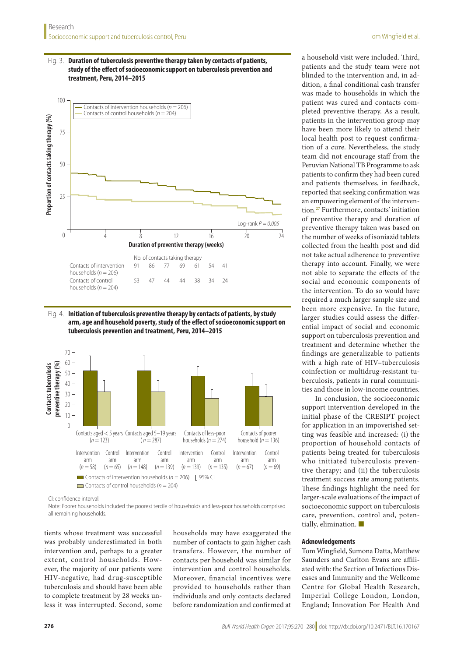#### <span id="page-6-0"></span>Fig. 3. **Duration of tuberculosis preventive therapy taken by contacts of patients, study of the effect of socioeconomic support on tuberculosis prevention and treatment, Peru, 2014–2015**



<span id="page-6-1"></span>Fig. 4. **Initiation of tuberculosis preventive therapy by contacts of patients, by study arm, age and household poverty, study of the effect of socioeconomic support on tuberculosis prevention and treatment, Peru, 2014–2015**



CI: confidence interval.

Note: Poorer households included the poorest tercile of households and less-poor households comprised all remaining households.

tients whose treatment was successful was probably underestimated in both intervention and, perhaps to a greater extent, control households. However, the majority of our patients were HIV-negative, had drug-susceptible tuberculosis and should have been able to complete treatment by 28 weeks unless it was interrupted. Second, some

households may have exaggerated the number of contacts to gain higher cash transfers. However, the number of contacts per household was similar for intervention and control households. Moreover, financial incentives were provided to households rather than individuals and only contacts declared before randomization and confirmed at

a household visit were included. Third, patients and the study team were not blinded to the intervention and, in addition, a final conditional cash transfer was made to households in which the patient was cured and contacts completed preventive therapy. As a result, patients in the intervention group may have been more likely to attend their local health post to request confirmation of a cure. Nevertheless, the study team did not encourage staff from the Peruvian National TB Programme to ask patients to confirm they had been cured and patients themselves, in feedback, reported that seeking confirmation was an empowering element of the intervention[.27](#page-9-21) Furthermore, contacts' initiation of preventive therapy and duration of preventive therapy taken was based on the number of weeks of isoniazid tablets collected from the health post and did not take actual adherence to preventive therapy into account. Finally, we were not able to separate the effects of the social and economic components of the intervention. To do so would have required a much larger sample size and been more expensive. In the future, larger studies could assess the differential impact of social and economic support on tuberculosis prevention and treatment and determine whether the findings are generalizable to patients with a high rate of HIV–tuberculosis coinfection or multidrug-resistant tuberculosis, patients in rural communities and those in low-income countries.

In conclusion, the socioeconomic support intervention developed in the initial phase of the CRESIPT project for application in an impoverished setting was feasible and increased: (i) the proportion of household contacts of patients being treated for tuberculosis who initiated tuberculosis preventive therapy; and (ii) the tuberculosis treatment success rate among patients. These findings highlight the need for larger-scale evaluations of the impact of socioeconomic support on tuberculosis care, prevention, control and, potentially, elimination.

#### **Acknowledgements**

Tom Wingfield, Sumona Datta, Matthew Saunders and Carlton Evans are affiliated with: the Section of Infectious Diseases and Immunity and the Wellcome Centre for Global Health Research, Imperial College London, London, England; Innovation For Health And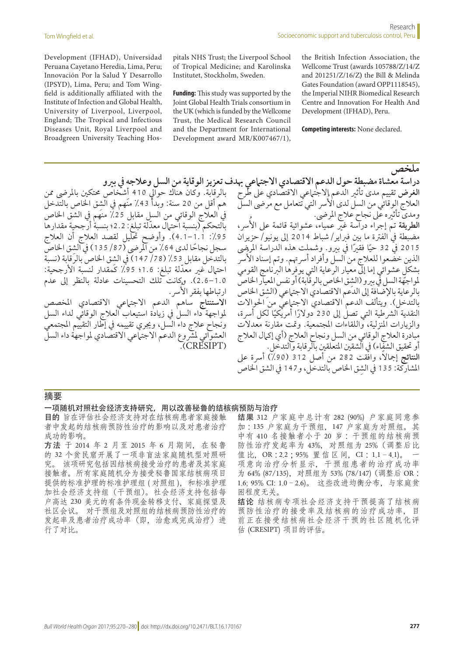Development (IFHAD), Universidad Peruana Cayetano Heredia, Lima, Peru; Innovación Por la Salud Y Desarrollo (IPSYD), Lima, Peru; and Tom Wingfield is additionally affiliated with the Institute of Infection and Global Health, University of Liverpool, Liverpool, England; The Tropical and Infectious Diseases Unit, Royal Liverpool and Broadgreen University Teaching Hospitals NHS Trust; the Liverpool School of Tropical Medicine; and Karolinska Institutet, Stockholm, Sweden.

**Funding:** This study was supported by the Joint Global Health Trials consortium in the UK (which is funded by the Wellcome Trust, the Medical Research Council and the Department for International Development award MR/K007467/1), the British Infection Association, the Wellcome Trust (awards 105788/Z/14/Z and 201251/Z/16/Z**)** the Bill & Melinda Gates Foundation (award OPP1118545), the Imperial NIHR Biomedical Research Centre and Innovation For Health And Development (IFHAD), Peru.

**Competing interests:** None declared.

بالرقابة. وكان هناك حوالي 410 أشخاص محتكين بالمرضى ممن هم أقل من 20 سنة: وبدأ 43٪ منَهم في الشق الخاص بالتدخل يف العالج الوقائي من السل مقابل %25 منهم يف الشق اخلاص ّ بالتحكم )بنسبة احتامل معدلة تبلغ2.2:؛ بنسبة أرجحية مقدارها :%95 1.1–4.1(. وأوضح حتليل لقصد العالج أن العالج سجل نجاحًا لدى 64٪ من المرضى (87/ 135) في الشق الخاص بالتدخل مقابل %53 )147/78 ِ ( يف الشق اخلاص بالرقابة )نسبة احتيال غير معدّلة تبلغ: 1.6؛ 95٪ كَمقدار لنسبة الأرجحية: 1.0–2.6(. وكانت تلك التحسينات عادلة بالنظر إىل عدم ارتباطها بفقر الأسر. ا**لاستنتاج** ساهم الدعم الاجت<sub>ا</sub>عي الاقتصادي المخصص

ملواجهة داء السل يف زيادة استيعاب العالج الوقائي لداء السل ونجاح عالج داء السل، وجيري تقييمه يف إطار التقييم املجتمعي العشوائي لمشروع الدعم الاجتماعي الاقتصادي لمواجهة داء السل CRESIPT<sub>)</sub>

**ملخص دراسة معشاة مضبطة حول الدعم االقتصادي االجتامعي هبدف تعزيز الوقاية من السل وعالجه يف بريو الغرض** تقييم مدى تأثري الدعم االجتامعي االقتصادي عىل طرح العلّاج الوقّائي من السلّ لدى الأسر التي تتعامل مع مرضى السل - .<br>ومدى تأثيره على نجاح علاج المرضى. ا**لطريقة** تمّ إجراء دراسة غير عمياء، عشوائية قائمة على الأسر، مضبطة يف الفرتة ما بني فرباير/شباط 2014 إىل يونيو/حزيران 2015 في 32 حيًا فقيرًا في بيرو. وشملت هذه الدراسة المرضى<br>... الذين خضعوا للعلاج من السل وأفراد أسرتهم. وتم إسناد الأسر ٍ بشكل عشوائي إما إىل معيار الرعاية التي يوفرها الربنامج القومي لمواجهَّة السل في بيرو (الشق الخاص بالرقابة) أو نفس المعيار الخاص بالرعاية بالإضافة إلى الدعم الاقتصادي الاجتماعي (الشق الخاص بالتدخل). ويتألف الدعم الاقتصادي الاجتماعي من الحوالات النقدية الشرطية التي تصل إلى 230 دولارًا أمريكيًا لكل أسرة،<br>. والزيارات املنزلية، واللقاءات املجتمعية. ومتت مقارنة معدالت مبادرة العالج الوقائي من السل ونجاح العالج )أي إكامل العالج .<br>أو تحقيق الشفاء) في الشقين المتعلقين بالرقابة والتدخل. ا**لنتائج** إجمالًا، وافّقت 282 من أصل 312 (90٪) أسرة على المشاركة: 135 في الشق الخاص بالتدخل، و147 في الشق الخاص

#### 摘要

#### 一项随机对照社会经济支持研究,用以改善秘鲁的结核病预防与治疗

目的 旨在评估社会经济支持对在结核病患者家庭接触 者中发起的结核病预防性治疗的影响以及对患者治疗 成功的影响。

方法 于 2014 年 2 月至 2015 年 6 月期间,在秘鲁 的 32 个贫民窟开展了一项非盲法家庭随机型对照研 究。 该项研究包括因结核病接受治疗的患者及其家庭 接触者。所有家庭随机分为接受秘鲁国家结核病项目 提供的标准护理的标准护理组 (对照组), 和标准护理 加社会经济支持组(干预组)。社会经济支持包括每 户高达 230 美元的有条件现金转移支付、家庭探望及 社区会议。 对干预组及对照组的结核病预防性治疗的 发起率及患者治疗成功率(即,治愈或完成治疗)进 行了对比。

结果 312 户家庭中总计有 282 (90%) 户家庭同意参 加 :135 户家庭为干预组,147 户家庭为对照组。其 中有 410 名接触者小于 20 岁 : 干预组的结核病预 防性治疗发起率为 43%,对照组为 25%(调整后比 值比, OR : 2.2 ; 95% 置信区间, CI : 1.1-4.1)。 项意向治疗分析显示,干预组患者的治疗成功率 为 64% (87/135),对照组为 53% (78/147)(调整后 OR : 1.6; 95% CI: 1.0–2.6)。 这些改进均衡分布,与家庭贫 困程度无关。

结论 结核病专项社会经济支持干预提高了结核病 预防性治疗的接受率及结核病的治疗成功率,目 前正在接受结核病社会经济干预的社区随机化评 估 (CRESIPT) 项目的评估。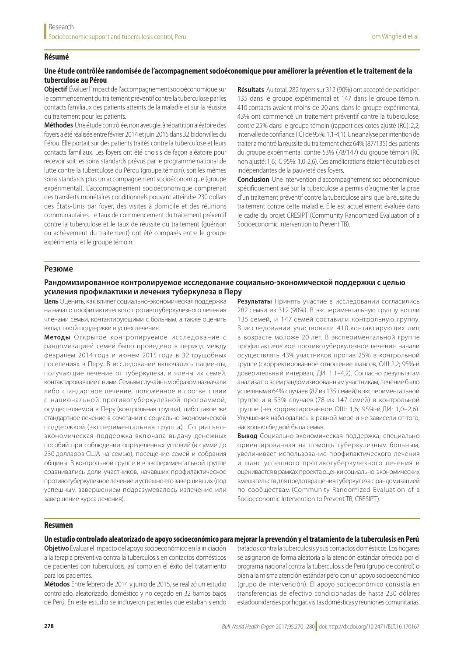#### **Résumé**

#### **Une étude contrôlée randomisée de l'accompagnement socioéconomique pour améliorer la prévention et le traitement de la tuberculose au Pérou**

**Objectif** Évaluer l'impact de l'accompagnement socioéconomique sur le commencement du traitement préventif contre la tuberculose par les contacts familiaux des patients atteints de la maladie et sur la réussite du traitement pour les patients.

**Méthodes** Une étude contrôlée, non aveugle, à répartition aléatoire des foyers a été réalisée entre février 2014 et juin 2015 dans 32 bidonvilles du Pérou. Elle portait sur des patients traités contre la tuberculose et leurs contacts familiaux. Les foyers ont été choisis de façon aléatoire pour recevoir soit les soins standards prévus par le programme national de lutte contre la tuberculose du Pérou (groupe témoin), soit les mêmes soins standards plus un accompagnement socioéconomique (groupe expérimental). L'accompagnement socioéconomique comprenait des transferts monétaires conditionnels pouvant atteindre 230 dollars des États-Unis par foyer, des visites à domicile et des réunions communautaires. Le taux de commencement du traitement préventif contre la tuberculose et le taux de réussite du traitement (guérison ou achèvement du traitement) ont été comparés entre le groupe expérimental et le groupe témoin.

**Résultats** Au total, 282 foyers sur 312 (90%) ont accepté de participer: 135 dans le groupe expérimental et 147 dans le groupe témoin. 410 contacts avaient moins de 20 ans: dans le groupe expérimental, 43% ont commencé un traitement préventif contre la tuberculose, contre 25% dans le groupe témoin (rapport des cotes ajusté (RC):2,2; intervalle de confiance (IC) de 95%: 1,1-4,1). Une analyse par intention de traiter a montré la réussite du traitement chez 64% (87/135) des patients du groupe expérimental contre 53% (78/147) du groupe témoin (RC non ajusté: 1,6; IC 95%: 1,0-2,6). Ces améliorations étaient équitables et indépendantes de la pauvreté des foyers.

**Conclusion** Une intervention d'accompagnement socioéconomique spécifiquement axé sur la tuberculose a permis d'augmenter la prise d'un traitement préventif contre la tuberculose ainsi que la réussite du traitement contre cette maladie. Elle est actuellement évaluée dans le cadre du projet CRESIPT (Community Randomized Evaluation of a Socioeconomic Intervention to Prevent TB).

#### **Резюме**

#### **Рандомизированное контролируемое исследование социально-экономической поддержки с целью усиления профилактики и лечения туберкулеза в Перу**

**Цель** Оценить, как влияет социально-экономическая поддержка на начало профилактического противотуберкулезного лечения членами семьи, контактирующими с больным, а также оценить вклад такой поддержки в успех лечения.

**Методы** Открытое контролируемое исследование с рандомизацией семей было проведено в период между февралем 2014 года и июнем 2015 года в 32 трущобных поселениях в Перу. В исследование включались пациенты, получающие лечение от туберкулеза, и члены их семей, контактировавшие с ними. Семьям случайным образом назначали либо стандартное лечение, положенное в соответствии с национальной противотуберкулезной программой, осуществляемой в Перу (контрольная группа), либо такое же стандартное лечение в сочетании с социально-экономической поддержкой (экспериментальная группа). Социальноэкономическая поддержка включала выдачу денежных пособий при соблюдении определенных условий (в сумме до 230 долларов США на семью), посещение семей и собрания общины. В контрольной группе и в экспериментальной группе сравнивались доли участников, начавших профилактическое противотуберкулезное лечение и успешно его завершивших (под успешным завершением подразумевалось излечение или завершение курса лечения).

**Результаты** Принять участие в исследовании согласились 282 семьи из 312 (90%). В экспериментальную группу вошли 135 семей, и 147 семей составили контрольную группу. В исследовании участвовали 410 контактирующих лиц в возрасте моложе 20 лет. В экспериментальной группе профилактическое противотуберкулезное лечение начали осуществлять 43% участников против 25% в контрольной группе (скорректированное отношение шансов, ОШ:2,2; 95%-й доверительный интервал, ДИ: 1,1–4,2). Согласно результатам анализа по всем рандомизированным участникам, лечение было успешным в 64% случаев (87 из 135 семей) в экспериментальной группе и в 53% случаев (78 из 147 семей) в контрольной группе (нескорректированное ОШ: 1,6; 95%-й ДИ: 1,0–2,6). Улучшения наблюдались в равной мере и не зависели от того, насколько бедной была семья.

**Вывод** Социально-экономическая поддержка, специально ориентированная на помощь туберкулезным больным, увеличивает использование профилактического лечения и шанс успешного противотуберкулезного лечения и оценивается в рамках проекта оценки социально-экономических вмешательств для предотвращения туберкулеза с рандомизацией по сообществам (Community Randomized Evaluation of a Socioeconomic Intervention to Prevent TB, CRESIPT).

#### **Resumen**

**Un estudio controlado aleatorizado de apoyo socioeconómico para mejorar la prevención y el tratamiento de la tuberculosis en Perú**

**Objetivo** Evaluar el impacto del apoyo socioeconómico en la iniciación a la terapia preventiva contra la tuberculosis en contactos domésticos de pacientes con tuberculosis, así como en el éxito del tratamiento para los pacientes.

**Métodos** Entre febrero de 2014 y junio de 2015, se realizó un estudio controlado, aleatorizado, doméstico y no cegado en 32 barrios bajos de Perú. En este estudio se incluyeron pacientes que estaban siendo

tratados contra la tuberculosis y sus contactos domésticos. Los hogares se asignaron de forma aleatoria a la atención estándar ofrecida por el programa nacional contra la tuberculosis de Perú (grupo de control) o bien a la misma atención estándar pero con un apoyo socioeconómico (grupo de intervención). El apoyo socioeconómico consistía en transferencias de efectivo condicionadas de hasta 230 dólares estadounidenses por hogar, visitas domésticas y reuniones comunitarias.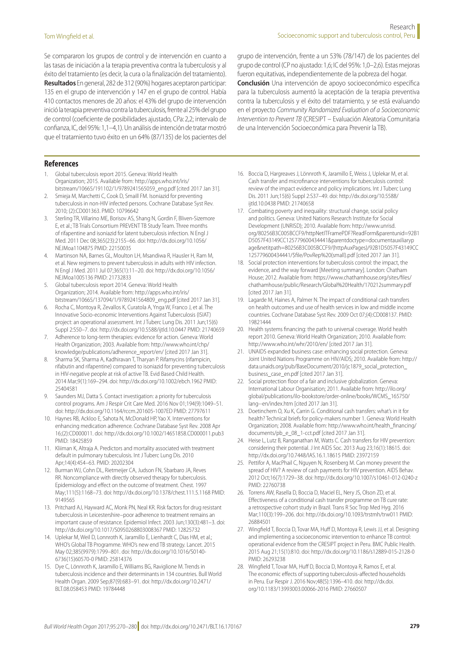Se compararon los grupos de control y de intervención en cuanto a las tasas de iniciación a la terapia preventiva contra la tuberculosis y al éxito del tratamiento (es decir, la cura o la finalización del tratamiento). **Resultados** En general, 282 de 312 (90%) hogares aceptaron participar: 135 en el grupo de intervención y 147 en el grupo de control. Había 410 contactos menores de 20 años: el 43% del grupo de intervención inició la terapia preventiva contra la tuberculosis, frente al 25% del grupo de control (coeficiente de posibilidades ajustado, CPa:2,2; intervalo de confianza, IC, del 95%: 1,1–4,1). Un análisis de intención de tratar mostró que el tratamiento tuvo éxito en un 64% (87/135) de los pacientes del

grupo de intervención, frente a un 53% (78/147) de los pacientes del grupo de control (CP no ajustado: 1,6; IC del 95%: 1,0–2,6). Estas mejoras fueron equitativas, independientemente de la pobreza del hogar.

**Conclusión** Una intervención de apoyo socioeconómico específica para la tuberculosis aumentó la aceptación de la terapia preventiva contra la tuberculosis y el éxito del tratamiento, y se está evaluando en el proyecto *Community Randomized Evaluation of a Socioeconomic Intervention to Prevent TB* (CRESIPT – Evaluación Aleatoria Comunitaria de una Intervención Socioeconómica para Prevenir la TB).

#### **References**

- <span id="page-9-0"></span>1. Global tuberculosis report 2015. Geneva: World Health Organization; 2015. Available from: [http://apps.who.int/iris/](http://apps.who.int/iris/bitstream/10665/191102/1/9789241565059_eng.pdf) [bitstream/10665/191102/1/9789241565059\\_eng.pdf](http://apps.who.int/iris/bitstream/10665/191102/1/9789241565059_eng.pdf) [cited 2017 Jan 31].
- <span id="page-9-1"></span>2. Smieja M, Marchetti C, Cook D, Smaill FM. Isoniazid for preventing tuberculosis in non-HIV infected persons. Cochrane Database Syst Rev. 2010; (2):CD001363. PMID: [10796642](http://www.ncbi.nlm.nih.gov/pubmed/10796642)
- <span id="page-9-23"></span>3. Sterling TR, Villarino ME, Borisov AS, Shang N, Gordin F, Bliven-Sizemore E, et al.; TB Trials Consortium PREVENT TB Study Team. Three months of rifapentine and isoniazid for latent tuberculosis infection. N Engl J Med. 2011 Dec 08;365(23):2155–66. doi: [http://dx.doi.org/10.1056/](http://dx.doi.org/10.1056/NEJMoa1104875) [NEJMoa1104875](http://dx.doi.org/10.1056/NEJMoa1104875) PMID: [22150035](http://www.ncbi.nlm.nih.gov/pubmed/22150035)
- <span id="page-9-2"></span>4. Martinson NA, Barnes GL, Moulton LH, Msandiwa R, Hausler H, Ram M, et al. New regimens to prevent tuberculosis in adults with HIV infection. N Engl J Med. 2011 Jul 07;365(1):11–20. doi: [http://dx.doi.org/10.1056/](http://dx.doi.org/10.1056/NEJMoa1005136) [NEJMoa1005136](http://dx.doi.org/10.1056/NEJMoa1005136) PMID: [21732833](http://www.ncbi.nlm.nih.gov/pubmed/21732833)
- <span id="page-9-3"></span>5. Global tuberculosis report 2014. Geneva: World Health Organization; 2014. Available from: [http://apps.who.int/iris/](http://apps.who.int/iris/bitstream/10665/137094/1/9789241564809_eng.pdf) [bitstream/10665/137094/1/9789241564809\\_eng.pdf](http://apps.who.int/iris/bitstream/10665/137094/1/9789241564809_eng.pdf) [cited 2017 Jan 31].
- <span id="page-9-4"></span>6. Rocha C, Montoya R, Zevallos K, Curatola A, Ynga W, Franco J, et al. The Innovative Socio-economic Interventions Against Tuberculosis (ISIAT) project: an operational assessment. Int J Tuberc Lung Dis. 2011 Jun;15(6) Suppl 2:S50–7. doi: <http://dx.doi.org/10.5588/ijtld.10.0447> PMID: [21740659](http://www.ncbi.nlm.nih.gov/pubmed/21740659)
- <span id="page-9-6"></span>7. Adherence to long-term therapies: evidence for action. Geneva: World Health Organization; 2003. Available from: [http://www.who.int/chp/](http://www.who.int/chp/knowledge/publications/adherence_report/en/) [knowledge/publications/adherence\\_report/en/](http://www.who.int/chp/knowledge/publications/adherence_report/en/) [cited 2017 Jan 31].
- <span id="page-9-7"></span>8. Sharma SK, Sharma A, Kadhiravan T, Tharyan P. Rifamycins (rifampicin, rifabutin and rifapentine) compared to isoniazid for preventing tuberculosis in HIV-negative people at risk of active TB. Evid Based Child Health. 2014 Mar;9(1):169–294. doi:<http://dx.doi.org/10.1002/ebch.1962>PMID: [25404581](http://www.ncbi.nlm.nih.gov/pubmed/25404581)
- <span id="page-9-5"></span>9. Saunders MJ, Datta S. Contact investigation: a priority for tuberculosis control programs. Am J Respir Crit Care Med. 2016 Nov 01;194(9):1049–51. doi:<http://dx.doi.org/10.1164/rccm.201605-1007ED> PMID: [27797611](http://www.ncbi.nlm.nih.gov/pubmed/27797611)
- <span id="page-9-8"></span>10. Haynes RB, Ackloo E, Sahota N, McDonald HP, Yao X. Interventions for enhancing medication adherence. Cochrane Database Syst Rev. 2008 Apr 16;(2):CD000011. doi:<http://dx.doi.org/10.1002/14651858.CD000011.pub3> PMID: [18425859](http://www.ncbi.nlm.nih.gov/pubmed/18425859)
- <span id="page-9-9"></span>11. Kliiman K, Altraja A. Predictors and mortality associated with treatment default in pulmonary tuberculosis. Int J Tuberc Lung Dis. 2010 Apr;14(4):454–63. PMID: [20202304](http://www.ncbi.nlm.nih.gov/pubmed/20202304)
- <span id="page-9-10"></span>12. Burman WJ, Cohn DL, Rietmeijer CA, Judson FN, Sbarbaro JA, Reves RR. Noncompliance with directly observed therapy for tuberculosis. Epidemiology and effect on the outcome of treatment. Chest. 1997 May;111(5):1168–73. doi:<http://dx.doi.org/10.1378/chest.111.5.1168> PMID: [9149565](http://www.ncbi.nlm.nih.gov/pubmed/9149565)
- <span id="page-9-11"></span>13. Pritchard AJ, Hayward AC, Monk PN, Neal KR. Risk factors for drug resistant tuberculosis in Leicestershire–poor adherence to treatment remains an important cause of resistance. Epidemiol Infect. 2003 Jun;130(3):481–3. doi: <http://dx.doi.org/10.1017/S0950268803008367>PMID: [12825732](http://www.ncbi.nlm.nih.gov/pubmed/12825732)
- <span id="page-9-12"></span>14. Uplekar M, Weil D, Lonnroth K, Jaramillo E, Lienhardt C, Dias HM, et al.; WHO's Global TB Programme. WHO's new end TB strategy. Lancet. 2015 May 02;385(9979):1799–801. doi: [http://dx.doi.org/10.1016/S0140-](http://dx.doi.org/10.1016/S0140-6736(15)60570-0) [6736\(15\)60570-0](http://dx.doi.org/10.1016/S0140-6736(15)60570-0) PMID: [25814376](http://www.ncbi.nlm.nih.gov/pubmed/25814376)
- <span id="page-9-13"></span>15. Dye C, Lönnroth K, Jaramillo E, Williams BG, Raviglione M. Trends in tuberculosis incidence and their determinants in 134 countries. Bull World Health Organ. 2009 Sep;87(9):683–91. doi: [http://dx.doi.org/10.2471/](http://dx.doi.org/10.2471/BLT.08.058453) [BLT.08.058453](http://dx.doi.org/10.2471/BLT.08.058453) PMID: [19784448](http://www.ncbi.nlm.nih.gov/pubmed/19784448)
- <span id="page-9-14"></span>16. Boccia D, Hargreaves J, Lönnroth K, Jaramillo E, Weiss J, Uplekar M, et al. Cash transfer and microfinance interventions for tuberculosis control: review of the impact evidence and policy implications. Int J Tuberc Lung Dis. 2011 Jun;15(6) Suppl 2:S37–49. doi: [http://dx.doi.org/10.5588/](http://dx.doi.org/10.5588/ijtld.10.0438) [ijtld.10.0438](http://dx.doi.org/10.5588/ijtld.10.0438) PMID: [21740658](http://www.ncbi.nlm.nih.gov/pubmed/21740658)
- 17. Combating poverty and inequality: structural change, social policy and politics. Geneva: United Nations Research Institute for Social Development (UNRISD); 2010. Available from: [http://www.unrisd.](http://www.unrisd.org/80256B3C005BCCF9/httpNetITFramePDF?ReadForm&parentunid=92B1D5057F43149CC125779600434441&parentdoctype=documentauxiliarypage&netitpath=80256B3C005BCCF9/(httpAuxPages)/92B1D5057F43149CC125779600434441/$file/PovRep%20(small).pdf) [org/80256B3C005BCCF9/httpNetITFramePDF?ReadForm&parentunid=92B1](http://www.unrisd.org/80256B3C005BCCF9/httpNetITFramePDF?ReadForm&parentunid=92B1D5057F43149CC125779600434441&parentdoctype=documentauxiliarypage&netitpath=80256B3C005BCCF9/(httpAuxPages)/92B1D5057F43149CC125779600434441/$file/PovRep%20(small).pdf) [D5057F43149CC125779600434441&parentdoctype=documentauxiliaryp](http://www.unrisd.org/80256B3C005BCCF9/httpNetITFramePDF?ReadForm&parentunid=92B1D5057F43149CC125779600434441&parentdoctype=documentauxiliarypage&netitpath=80256B3C005BCCF9/(httpAuxPages)/92B1D5057F43149CC125779600434441/$file/PovRep%20(small).pdf) [age&netitpath=80256B3C005BCCF9/\(httpAuxPages\)/92B1D5057F43149CC](http://www.unrisd.org/80256B3C005BCCF9/httpNetITFramePDF?ReadForm&parentunid=92B1D5057F43149CC125779600434441&parentdoctype=documentauxiliarypage&netitpath=80256B3C005BCCF9/(httpAuxPages)/92B1D5057F43149CC125779600434441/$file/PovRep%20(small).pdf) [125779600434441/\\$file/PovRep%20\(small\).pdf](http://www.unrisd.org/80256B3C005BCCF9/httpNetITFramePDF?ReadForm&parentunid=92B1D5057F43149CC125779600434441&parentdoctype=documentauxiliarypage&netitpath=80256B3C005BCCF9/(httpAuxPages)/92B1D5057F43149CC125779600434441/$file/PovRep%20(small).pdf) [cited 2017 Jan 31].
- <span id="page-9-18"></span>18. Social protection interventions for tuberculosis control: the impact, the evidence, and the way forward [Meeting summary]. London: Chatham House; 2012. Available from: [https://www.chathamhouse.org/sites/files/](https://www.chathamhouse.org/sites/files/chathamhouse/public/Research/Global%20Health/170212summary.pdf) [chathamhouse/public/Research/Global%20Health/170212summary.pdf](https://www.chathamhouse.org/sites/files/chathamhouse/public/Research/Global%20Health/170212summary.pdf)  [cited 2017 Jan 31].
- <span id="page-9-19"></span>19. Lagarde M, Haines A, Palmer N. The impact of conditional cash transfers on health outcomes and use of health services in low and middle income countries. Cochrane Database Syst Rev. 2009 Oct 07;(4):CD008137. PMID: [19821444](http://www.ncbi.nlm.nih.gov/pubmed/19821444)
- 20. Health systems financing: the path to universal coverage. World health report 2010. Geneva: World Health Organization; 2010. Available from: <http://www.who.int/whr/2010/en/>[cited 2017 Jan 31].
- 21. UNAIDS expanded business case: enhancing social protection. Geneva: Joint United Nations Programme on HIV/AIDS; 2010. Available from: [http://](http://data.unaids.org/pub/BaseDocument/2010/jc1879_social_protection_business_case_en.pdf) [data.unaids.org/pub/BaseDocument/2010/jc1879\\_social\\_protection\\_](http://data.unaids.org/pub/BaseDocument/2010/jc1879_social_protection_business_case_en.pdf) [business\\_case\\_en.pdf](http://data.unaids.org/pub/BaseDocument/2010/jc1879_social_protection_business_case_en.pdf) [cited 2017 Jan 31].
- 22. Social protection floor of a fair and inclusive globalization. Geneva: International Labour Organisation; 2011. Available from: [http://ilo.org/](http://ilo.org/global/publications/ilo-bookstore/order-online/books/WCMS_165750/lang--en/index.htm) [global/publications/ilo-bookstore/order-online/books/WCMS\\_165750/](http://ilo.org/global/publications/ilo-bookstore/order-online/books/WCMS_165750/lang--en/index.htm) [lang--en/index.htm](http://ilo.org/global/publications/ilo-bookstore/order-online/books/WCMS_165750/lang--en/index.htm) [cited 2017 Jan 31].
- <span id="page-9-15"></span>23. Doetinchem O, Xu K, Carrin G. Conditional cash transfers: what's in it for health? Technical briefs for policy-makers number 1. Geneva: World Health Organization; 2008. Available from: [http://www.who.int/health\\_financing/](http://www.who.int/health_financing/documents/pb_e_08_1-cct.pdf) [documents/pb\\_e\\_08\\_1-cct.pdf](http://www.who.int/health_financing/documents/pb_e_08_1-cct.pdf) [cited 2017 Jan 31].
- <span id="page-9-16"></span>24. Heise L, Lutz B, Ranganathan M, Watts C. Cash transfers for HIV prevention: considering their potential. J Int AIDS Soc. 2013 Aug 23;16(1):18615. doi: <http://dx.doi.org/10.7448/IAS.16.1.18615> PMID: [23972159](http://www.ncbi.nlm.nih.gov/pubmed/23972159)
- <span id="page-9-17"></span>25. Pettifor A, MacPhail C, Nguyen N, Rosenberg M. Can money prevent the spread of HIV? A review of cash payments for HIV prevention. AIDS Behav. 2012 Oct;16(7):1729–38. doi: <http://dx.doi.org/10.1007/s10461-012-0240-z> PMID: [22760738](http://www.ncbi.nlm.nih.gov/pubmed/22760738)
- <span id="page-9-20"></span>26. Torrens AW, Rasella D, Boccia D, Maciel EL, Nery JS, Olson ZD, et al. Effectiveness of a conditional cash transfer programme on TB cure rate: a retrospective cohort study in Brazil. Trans R Soc Trop Med Hyg. 2016 Mar;110(3):199–206. doi:<http://dx.doi.org/10.1093/trstmh/trw011> PMID: [26884501](http://www.ncbi.nlm.nih.gov/pubmed/26884501)
- <span id="page-9-21"></span>27. Wingfield T, Boccia D, Tovar MA, Huff D, Montoya R, Lewis JJ, et al. Designing and implementing a socioeconomic intervention to enhance TB control: operational evidence from the CRESIPT project in Peru. BMC Public Health. 2015 Aug 21;15(1):810. doi:<http://dx.doi.org/10.1186/s12889-015-2128-0> PMID: [26293238](http://www.ncbi.nlm.nih.gov/pubmed/26293238)
- <span id="page-9-22"></span>28. Wingfield T, Tovar MA, Huff D, Boccia D, Montoya R, Ramos E, et al. The economic effects of supporting tuberculosis-affected households in Peru. Eur Respir J. 2016 Nov;48(5):1396–410. doi: [http://dx.doi.](http://dx.doi.org/10.1183/13993003.00066-2016) [org/10.1183/13993003.00066-2016](http://dx.doi.org/10.1183/13993003.00066-2016) PMID: [27660507](http://www.ncbi.nlm.nih.gov/pubmed/27660507)